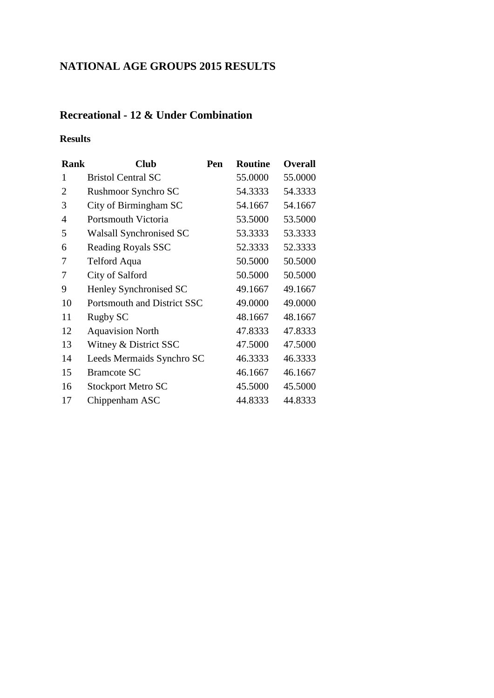## **NATIONAL AGE GROUPS 2015 RESULTS**

### **Recreational - 12 & Under Combination**

#### **Results**

| <b>Rank</b>    | <b>Club</b>                 | Pen | <b>Routine</b> | <b>Overall</b> |
|----------------|-----------------------------|-----|----------------|----------------|
| 1              | <b>Bristol Central SC</b>   |     | 55.0000        | 55.0000        |
| $\overline{2}$ | Rushmoor Synchro SC         |     | 54.3333        | 54.3333        |
| 3              | City of Birmingham SC       |     | 54.1667        | 54.1667        |
| 4              | Portsmouth Victoria         |     | 53.5000        | 53.5000        |
| 5              | Walsall Synchronised SC     |     | 53.3333        | 53.3333        |
| 6              | Reading Royals SSC          |     | 52.3333        | 52.3333        |
| 7              | Telford Aqua                |     | 50.5000        | 50.5000        |
| 7              | City of Salford             |     | 50.5000        | 50.5000        |
| 9              | Henley Synchronised SC      |     | 49.1667        | 49.1667        |
| 10             | Portsmouth and District SSC |     | 49.0000        | 49.0000        |
| 11             | Rugby SC                    |     | 48.1667        | 48.1667        |
| 12             | <b>Aquavision North</b>     |     | 47.8333        | 47.8333        |
| 13             | Witney & District SSC       |     | 47.5000        | 47.5000        |
| 14             | Leeds Mermaids Synchro SC   |     | 46.3333        | 46.3333        |
| 15             | <b>Bramcote SC</b>          |     | 46.1667        | 46.1667        |
| 16             | <b>Stockport Metro SC</b>   |     | 45.5000        | 45.5000        |
| 17             | Chippenham ASC              |     | 44.8333        | 44.8333        |